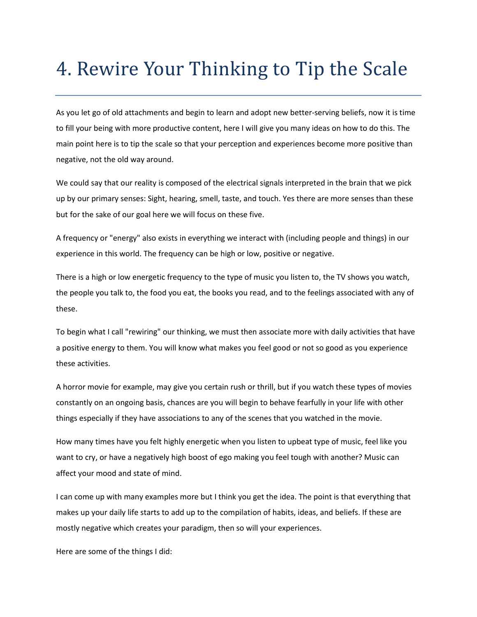## 4. Rewire Your Thinking to Tip the Scale

As you let go of old attachments and begin to learn and adopt new better-serving beliefs, now it is time to fill your being with more productive content, here I will give you many ideas on how to do this. The main point here is to tip the scale so that your perception and experiences become more positive than negative, not the old way around.

We could say that our reality is composed of the electrical signals interpreted in the brain that we pick up by our primary senses: Sight, hearing, smell, taste, and touch. Yes there are more senses than these but for the sake of our goal here we will focus on these five.

A frequency or "energy" also exists in everything we interact with (including people and things) in our experience in this world. The frequency can be high or low, positive or negative.

There is a high or low energetic frequency to the type of music you listen to, the TV shows you watch, the people you talk to, the food you eat, the books you read, and to the feelings associated with any of these.

To begin what I call "rewiring" our thinking, we must then associate more with daily activities that have a positive energy to them. You will know what makes you feel good or not so good as you experience these activities.

A horror movie for example, may give you certain rush or thrill, but if you watch these types of movies constantly on an ongoing basis, chances are you will begin to behave fearfully in your life with other things especially if they have associations to any of the scenes that you watched in the movie.

How many times have you felt highly energetic when you listen to upbeat type of music, feel like you want to cry, or have a negatively high boost of ego making you feel tough with another? Music can affect your mood and state of mind.

I can come up with many examples more but I think you get the idea. The point is that everything that makes up your daily life starts to add up to the compilation of habits, ideas, and beliefs. If these are mostly negative which creates your paradigm, then so will your experiences.

Here are some of the things I did: